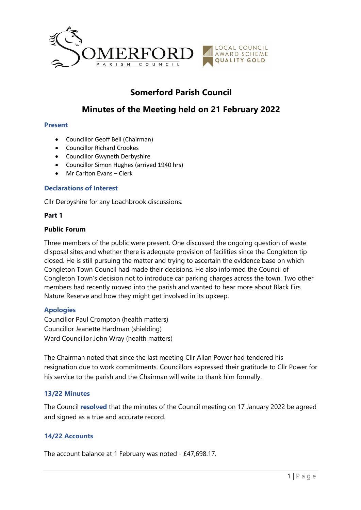

# **Somerford Parish Council**

## **Minutes of the Meeting held on 21 February 2022**

#### **Present**

- Councillor Geoff Bell (Chairman)
- Councillor Richard Crookes
- Councillor Gwyneth Derbyshire
- Councillor Simon Hughes (arrived 1940 hrs)
- Mr Carlton Evans Clerk

## **Declarations of Interest**

Cllr Derbyshire for any Loachbrook discussions.

#### **Part 1**

#### **Public Forum**

Three members of the public were present. One discussed the ongoing question of waste disposal sites and whether there is adequate provision of facilities since the Congleton tip closed. He is still pursuing the matter and trying to ascertain the evidence base on which Congleton Town Council had made their decisions. He also informed the Council of Congleton Town's decision not to introduce car parking charges across the town. Two other members had recently moved into the parish and wanted to hear more about Black Firs Nature Reserve and how they might get involved in its upkeep.

#### **Apologies**

Councillor Paul Crompton (health matters) Councillor Jeanette Hardman (shielding) Ward Councillor John Wray (health matters)

The Chairman noted that since the last meeting Cllr Allan Power had tendered his resignation due to work commitments. Councillors expressed their gratitude to Cllr Power for his service to the parish and the Chairman will write to thank him formally.

## **13/22 Minutes**

The Council **resolved** that the minutes of the Council meeting on 17 January 2022 be agreed and signed as a true and accurate record.

#### **14/22 Accounts**

The account balance at 1 February was noted - £47,698.17.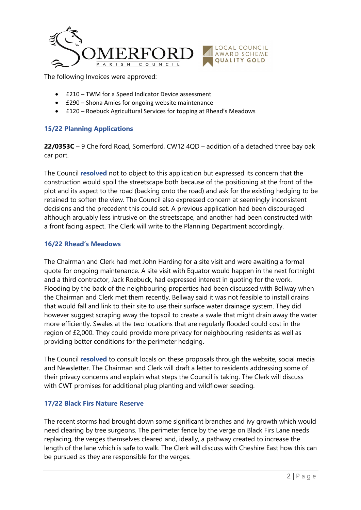

The following Invoices were approved:

- £210 TWM for a Speed Indicator Device assessment
- £290 Shona Amies for ongoing website maintenance
- £120 Roebuck Agricultural Services for topping at Rhead's Meadows

## **15/22 Planning Applications**

**22/0353C** – 9 Chelford Road, Somerford, CW12 4QD – addition of a detached three bay oak car port.

The Council **resolved** not to object to this application but expressed its concern that the construction would spoil the streetscape both because of the positioning at the front of the plot and its aspect to the road (backing onto the road) and ask for the existing hedging to be retained to soften the view. The Council also expressed concern at seemingly inconsistent decisions and the precedent this could set. A previous application had been discouraged although arguably less intrusive on the streetscape, and another had been constructed with a front facing aspect. The Clerk will write to the Planning Department accordingly.

#### **16/22 Rhead's Meadows**

The Chairman and Clerk had met John Harding for a site visit and were awaiting a formal quote for ongoing maintenance. A site visit with Equator would happen in the next fortnight and a third contractor, Jack Roebuck, had expressed interest in quoting for the work. Flooding by the back of the neighbouring properties had been discussed with Bellway when the Chairman and Clerk met them recently. Bellway said it was not feasible to install drains that would fall and link to their site to use their surface water drainage system. They did however suggest scraping away the topsoil to create a swale that might drain away the water more efficiently. Swales at the two locations that are regularly flooded could cost in the region of £2,000. They could provide more privacy for neighbouring residents as well as providing better conditions for the perimeter hedging.

The Council **resolved** to consult locals on these proposals through the website, social media and Newsletter. The Chairman and Clerk will draft a letter to residents addressing some of their privacy concerns and explain what steps the Council is taking. The Clerk will discuss with CWT promises for additional plug planting and wildflower seeding.

#### **17/22 Black Firs Nature Reserve**

The recent storms had brought down some significant branches and ivy growth which would need clearing by tree surgeons. The perimeter fence by the verge on Black Firs Lane needs replacing, the verges themselves cleared and, ideally, a pathway created to increase the length of the lane which is safe to walk. The Clerk will discuss with Cheshire East how this can be pursued as they are responsible for the verges.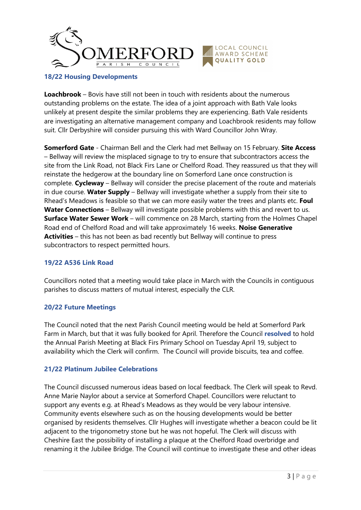

#### **18/22 Housing Developments**

**Loachbrook** – Bovis have still not been in touch with residents about the numerous outstanding problems on the estate. The idea of a joint approach with Bath Vale looks unlikely at present despite the similar problems they are experiencing. Bath Vale residents are investigating an alternative management company and Loachbrook residents may follow suit. Cllr Derbyshire will consider pursuing this with Ward Councillor John Wray.

**Somerford Gate** - Chairman Bell and the Clerk had met Bellway on 15 February. **Site Access** – Bellway will review the misplaced signage to try to ensure that subcontractors access the site from the Link Road, not Black Firs Lane or Chelford Road. They reassured us that they will reinstate the hedgerow at the boundary line on Somerford Lane once construction is complete. **Cycleway** – Bellway will consider the precise placement of the route and materials in due course. **Water Supply** – Bellway will investigate whether a supply from their site to Rhead's Meadows is feasible so that we can more easily water the trees and plants etc. **Foul Water Connections** – Bellway will investigate possible problems with this and revert to us. **Surface Water Sewer Work** – will commence on 28 March, starting from the Holmes Chapel Road end of Chelford Road and will take approximately 16 weeks. **Noise Generative Activities** – this has not been as bad recently but Bellway will continue to press subcontractors to respect permitted hours.

## **19/22 A536 Link Road**

Councillors noted that a meeting would take place in March with the Councils in contiguous parishes to discuss matters of mutual interest, especially the CLR.

## **20/22 Future Meetings**

The Council noted that the next Parish Council meeting would be held at Somerford Park Farm in March, but that it was fully booked for April. Therefore the Council **resolved** to hold the Annual Parish Meeting at Black Firs Primary School on Tuesday April 19, subject to availability which the Clerk will confirm. The Council will provide biscuits, tea and coffee.

## **21/22 Platinum Jubilee Celebrations**

The Council discussed numerous ideas based on local feedback. The Clerk will speak to Revd. Anne Marie Naylor about a service at Somerford Chapel. Councillors were reluctant to support any events e.g. at Rhead's Meadows as they would be very labour intensive. Community events elsewhere such as on the housing developments would be better organised by residents themselves. Cllr Hughes will investigate whether a beacon could be lit adjacent to the trigonometry stone but he was not hopeful. The Clerk will discuss with Cheshire East the possibility of installing a plaque at the Chelford Road overbridge and renaming it the Jubilee Bridge. The Council will continue to investigate these and other ideas